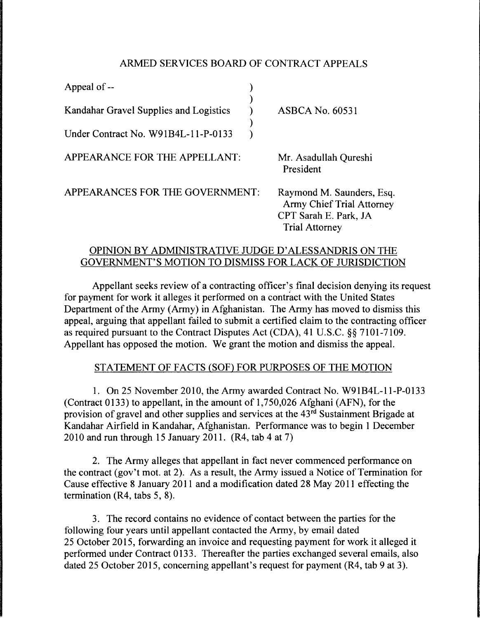### ARMED SERVICES BOARD OF CONTRACT APPEALS

| Appeal of --                           |                                                                                                                 |
|----------------------------------------|-----------------------------------------------------------------------------------------------------------------|
| Kandahar Gravel Supplies and Logistics | <b>ASBCA No. 60531</b>                                                                                          |
| Under Contract No. W91B4L-11-P-0133    |                                                                                                                 |
| APPEARANCE FOR THE APPELLANT:          | Mr. Asadullah Qureshi<br>President                                                                              |
| APPEARANCES FOR THE GOVERNMENT:        | Raymond M. Saunders, Esq.<br><b>Army Chief Trial Attorney</b><br>CPT Sarah E. Park, JA<br><b>Trial Attorney</b> |

## OPINION BY ADMINISTRATIVE JUDGE D' ALESSANDRIS ON THE GOVERNMENT'S MOTION TO DISMISS FOR LACK OF JURISDICTION

Appellant seeks review of a contracting officer's final decision denying its request for payment for work it alleges it performed on a contract with the United States Department of the Army (Army) in Afghanistan. The Army has moved to dismiss this appeal, arguing that appellant failed to submit a certified claim to the contracting officer as required pursuant to the Contract Disputes Act (CDA), 41 U.S.C. §§ 7101-7109. Appellant has opposed the motion. We grant the motion and dismiss the appeal.

# STATEMENT OF FACTS (SOF) FOR PURPOSES OF THE MOTION

1. On 25 November 2010, the Army awarded Contract No. W91B4L-l l-P-0133 (Contract 0133) to appellant, in the amount of 1,750,026 Afghani (AFN), for the provision of gravel and other supplies and services at the 43rd Sustainment Brigade at Kandahar Airfield in Kandahar, Afghanistan. Performance was to begin 1 December 2010 and run through 15 January 2011. (R4, tab 4 at 7)

2. The Army alleges that appellant in fact never commenced performance on the contract (gov't mot. at 2). As a result, the Army issued a Notice of Termination for Cause effective 8 January 2011 and a modification dated 28 May 2011 effecting the termination (R4, tabs 5, 8).

3. The record contains no evidence of contact between the parties for the following four years until appellant contacted the Army, by email dated 25 October 2015, forwarding an invoice and requesting payment for work it alleged it performed under Contract 0133. Thereafter the parties exchanged several emails, also dated 25 October 2015, concerning appellant's request for payment (R4, tab 9 at 3).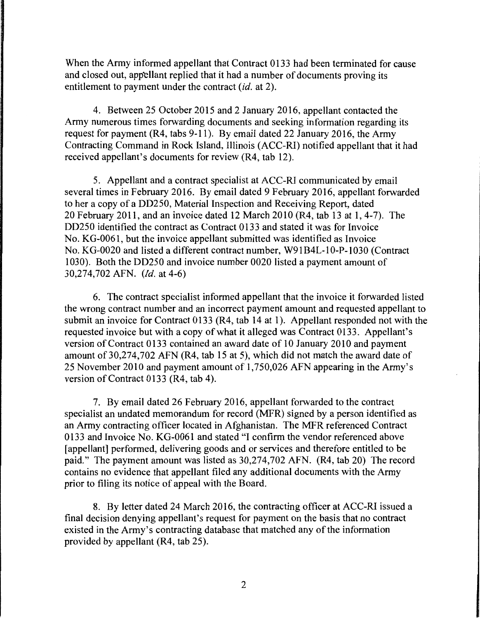When the Army informed appellant that Contract 0133 had been terminated for cause and closed out, appellant replied that it had a number of documents proving its entitlement to payment under the contract *(id.* at 2).

4. Between 25 October 2015 and 2 January 2016, appellant contacted the Army numerous times forwarding documents and seeking information regarding its request for payment (R4, tabs 9-11 ). By email dated 22 January 2016, the Army Contracting Command in Rock Island, Illinois (ACC-RI) notified appellant that it had received appellant's documents for review (R4, tab 12).

5. Appellant and a contract specialist at ACC-RI communicated by email several times in February 2016. By email dated 9 February 2016, appellant forwarded to her a copy of a DD250, Material Inspection and Receiving Report, dated 20 February 2011, and an invoice dated 12 March 2010 (R4, tab 13 at 1, 4-7). The DD250 identified the contract as Contract 0133 and stated it was for Invoice No. KG-0061, but the invoice appellant submitted was identified as Invoice No. KG-0020 and listed a different contract number, W91B4L-10-P-1030 (Contract 1030). Both the DD250 and invoice number 0020 listed a payment amount of 30,274,702 AFN. *(Id.* at 4-6)

6. The contract specialist informed appellant that the invoice it forwarded listed the wrong contract number and an incorrect payment amount and requested appellant to submit an invoice for Contract 0133 (R4, tab 14 at 1). Appellant responded not with the requested invoice but with a copy of what it alleged was Contract 0133. Appellant's version of Contract 0133 contained an award date of 10 January 2010 and payment amount of 30,274,702 AFN (R4, tab 15 at 5), which did not match the award date of 25 November 2010 and payment amount of 1,750,026 AFN appearing in the Army's version of Contract 0133 (R4, tab 4).

7. By email dated 26 February 2016, appellant forwarded to the contract specialist an undated memorandum for record (MFR) signed by a person identified as an Army contracting officer located in Afghanistan. The MFR referenced Contract 0133 and Invoice No. KG-0061 and stated "I confirm the vendor referenced above [appellant] performed, delivering goods and or services and therefore entitled to be paid." The payment amount was listed as 30,274,702 AFN. (R4, tab 20) The record contains no evidence that appellant filed any additional documents with the Army prior to filing its notice of appeal with the Board.

8. By letter dated 24 March 2016, the contracting officer at ACC-RI issued a final decision denying appellant's request for payment on the basis that no contract existed in the Army's contracting database that matched any of the information provided by appellant (R4, tab 25).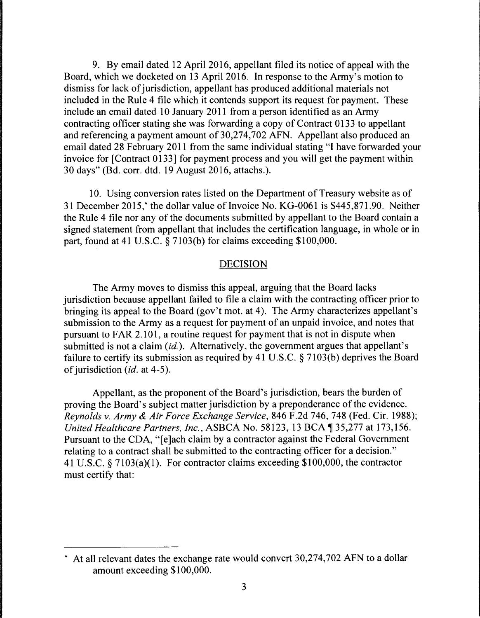9. By email dated 12 April 2016, appellant filed its notice of appeal with the Board, which we docketed on 13 April 2016. In response to the Army's motion to dismiss for lack of jurisdiction, appellant has produced additional materials not included in the Rule 4 file which it contends support its request for payment. These include an email dated 10 January 2011 from a person identified as an Army contracting officer stating she was forwarding a copy of Contract 0133 to appellant and referencing a payment amount of 30,274,702 AFN. Appellant also produced an email dated 28 February 2011 from the same individual stating "I have forwarded your invoice for [Contract 0133] for payment process and you will get the payment within 30 days" (Bd. corr. dtd. 19 August 2016, attachs.).

10. Using conversion rates listed on the Department of Treasury website as of 31December2015,\* the dollar value of Invoice No. KG-0061 is \$445,871.90. Neither the Rule 4 file nor any of the documents submitted by appellant to the Board contain a signed statement from appellant that includes the certification language, in whole or in part, found at 41 U.S.C. § 7103(b) for claims exceeding \$100,000.

### DECISION

The Army moves to dismiss this appeal, arguing that the Board lacks jurisdiction because appellant failed to file a claim with the contracting officer prior to bringing its appeal to the Board (gov't mot. at 4). The Army characterizes appellant's submission to the Army as a request for payment of an unpaid invoice, and notes that pursuant to FAR 2.101, a routine request for payment that is not in dispute when submitted is not a claim *(id.).* Alternatively, the government argues that appellant's failure to certify its submission as required by 41 U.S.C. § 7103(b) deprives the Board of jurisdiction *(id.* at 4-5).

Appellant, as the proponent of the Board's jurisdiction, bears the burden of proving the Board's subject matter jurisdiction by a preponderance of the evidence. *Reynolds v. Army* & *Air Force Exchange Service,* 846 F.2d 746, 748 (Fed. Cir. 1988); *United Healthcare Partners, Inc., ASBCA No.* 58123, 13 BCA ¶ 35,277 at 173,156. Pursuant to the CDA, "[e]ach claim by a contractor against the Federal Government relating to a contract shall be submitted to the contracting officer for a decision." 41 U.S.C. § 7103(a)(l). For contractor claims exceeding \$100,000, the contractor must certify that:

<sup>\*</sup> At all relevant dates the exchange rate would convert 30,274,702 AFN to a dollar amount exceeding \$100,000.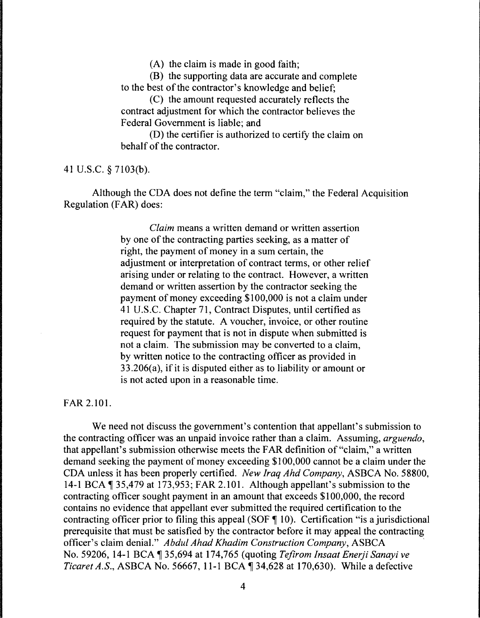(A) the claim is made in good faith;

(B) the supporting data are accurate and complete to the best of the contractor's knowledge and belief;

(C) the amount requested accurately reflects the contract adjustment for which the contractor believes the Federal Government is liable; and

(D) the certifier is authorized to certify the claim on behalf of the contractor.

41 U.S.C. § 7103(b).

Although the CDA does not define the term "claim," the Federal Acquisition Regulation (FAR) does:

> *Claim* means a written demand or written assertion by one of the contracting parties seeking, as a matter of right, the payment of money in a sum certain, the adjustment or interpretation of contract terms, or other relief arising under or relating to the contract. However, a written demand or written assertion by the contractor seeking the payment of money exceeding \$100,000 is not a claim under 41 U.S.C. Chapter 71, Contract Disputes, until certified as required by the statute. A voucher, invoice, or other routine request for payment that is not in dispute when submitted is not a claim. The submission may be converted to a claim, by written notice to the contracting officer as provided in 33.206(a), if it is disputed either as to liability or amount or is not acted upon in a reasonable time.

FAR 2.101.

We need not discuss the government's contention that appellant's submission to the contracting officer was an unpaid invoice rather than a claim. Assuming, *arguendo,*  that appellant's submission otherwise meets the FAR definition of "claim," a written demand seeking the payment of money exceeding \$100,000 cannot be a claim under the CDA unless it has been properly certified. *New Iraq Ahd Company,* ASBCA No. 58800, 14-1 BCA  $\P$  35,479 at 173,953; FAR 2.101. Although appellant's submission to the contracting officer sought payment in an amount that exceeds \$100,000, the record contains no evidence that appellant ever submitted the required certification to the contracting officer prior to filing this appeal (SOF  $\P$  10). Certification "is a jurisdictional prerequisite that must be satisfied by the contractor before it may appeal the contracting officer's claim denial." *Abdul Ahad Khadim Construction Company,* ASBCA , No. 59206, 14-1 BCA ~ 35,694 at 174,765 (quoting *Tefirom lnsaat Enerji Sanayi ve Ticaret A.S., ASBCA No. 56667, 11-1 BCA ¶ 34,628 at 170,630). While a defective*